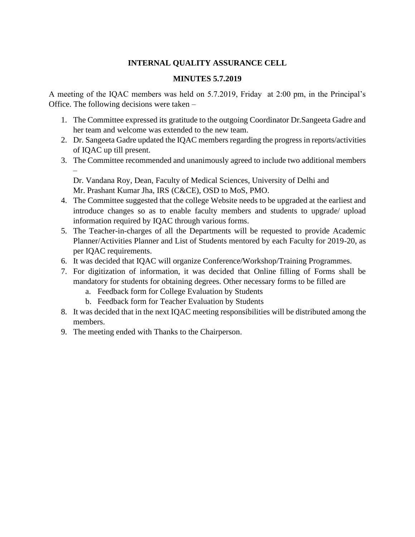#### **INTERNAL QUALITY ASSURANCE CELL**

#### **MINUTES 5.7.2019**

A meeting of the IQAC members was held on 5.7.2019, Friday at 2:00 pm, in the Principal's Office. The following decisions were taken –

- 1. The Committee expressed its gratitude to the outgoing Coordinator Dr.Sangeeta Gadre and her team and welcome was extended to the new team.
- 2. Dr. Sangeeta Gadre updated the IQAC members regarding the progress in reports/activities of IQAC up till present.
- 3. The Committee recommended and unanimously agreed to include two additional members –

Dr. Vandana Roy, Dean, Faculty of Medical Sciences, University of Delhi and Mr. Prashant Kumar Jha, IRS (C&CE), OSD to MoS, PMO.

- 4. The Committee suggested that the college Website needs to be upgraded at the earliest and introduce changes so as to enable faculty members and students to upgrade/ upload information required by IQAC through various forms.
- 5. The Teacher-in-charges of all the Departments will be requested to provide Academic Planner/Activities Planner and List of Students mentored by each Faculty for 2019-20, as per IQAC requirements.
- 6. It was decided that IQAC will organize Conference/Workshop/Training Programmes.
- 7. For digitization of information, it was decided that Online filling of Forms shall be mandatory for students for obtaining degrees. Other necessary forms to be filled are
	- a. Feedback form for College Evaluation by Students
	- b. Feedback form for Teacher Evaluation by Students
- 8. It was decided that in the next IQAC meeting responsibilities will be distributed among the members.
- 9. The meeting ended with Thanks to the Chairperson.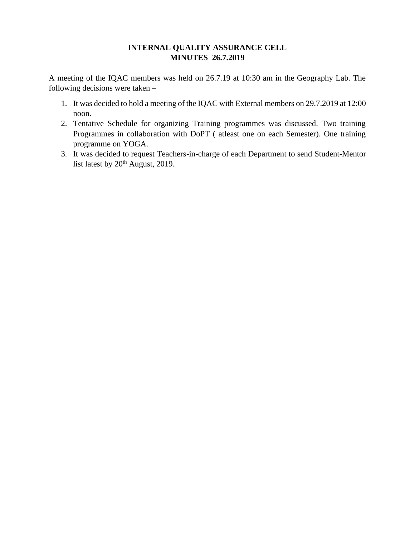## **INTERNAL QUALITY ASSURANCE CELL MINUTES 26.7.2019**

A meeting of the IQAC members was held on 26.7.19 at 10:30 am in the Geography Lab. The following decisions were taken –

- 1. It was decided to hold a meeting of the IQAC with External members on 29.7.2019 at 12:00 noon.
- 2. Tentative Schedule for organizing Training programmes was discussed. Two training Programmes in collaboration with DoPT ( atleast one on each Semester). One training programme on YOGA.
- 3. It was decided to request Teachers-in-charge of each Department to send Student-Mentor list latest by  $20<sup>th</sup>$  August, 2019.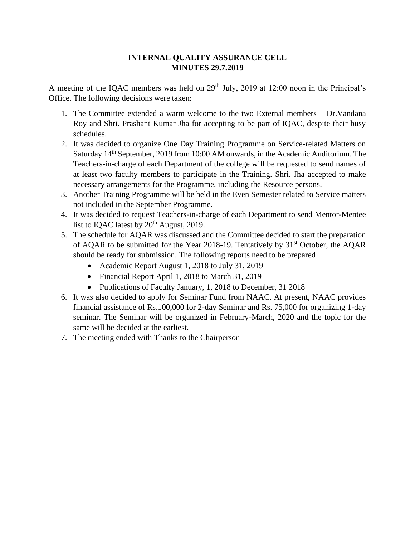### **INTERNAL QUALITY ASSURANCE CELL MINUTES 29.7.2019**

A meeting of the IQAC members was held on  $29<sup>th</sup>$  July, 2019 at 12:00 noon in the Principal's Office. The following decisions were taken:

- 1. The Committee extended a warm welcome to the two External members Dr.Vandana Roy and Shri. Prashant Kumar Jha for accepting to be part of IQAC, despite their busy schedules.
- 2. It was decided to organize One Day Training Programme on Service-related Matters on Saturday 14th September, 2019 from 10:00 AM onwards, in the Academic Auditorium. The Teachers-in-charge of each Department of the college will be requested to send names of at least two faculty members to participate in the Training. Shri. Jha accepted to make necessary arrangements for the Programme, including the Resource persons.
- 3. Another Training Programme will be held in the Even Semester related to Service matters not included in the September Programme.
- 4. It was decided to request Teachers-in-charge of each Department to send Mentor-Mentee list to IQAC latest by  $20<sup>th</sup>$  August, 2019.
- 5. The schedule for AQAR was discussed and the Committee decided to start the preparation of AQAR to be submitted for the Year 2018-19. Tentatively by  $31<sup>st</sup>$  October, the AQAR should be ready for submission. The following reports need to be prepared
	- Academic Report August 1, 2018 to July 31, 2019
	- Financial Report April 1, 2018 to March 31, 2019
	- Publications of Faculty January, 1, 2018 to December, 31 2018
- 6. It was also decided to apply for Seminar Fund from NAAC. At present, NAAC provides financial assistance of Rs.100,000 for 2-day Seminar and Rs. 75,000 for organizing 1-day seminar. The Seminar will be organized in February-March, 2020 and the topic for the same will be decided at the earliest.
- 7. The meeting ended with Thanks to the Chairperson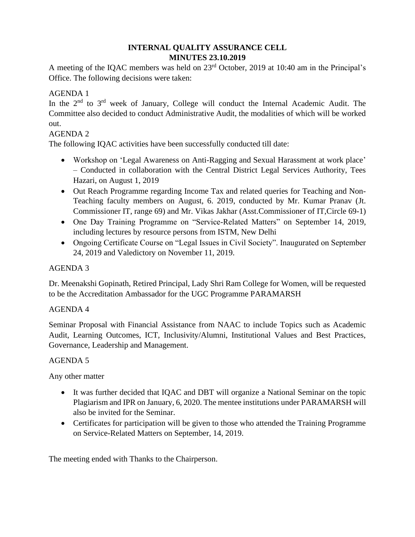# **INTERNAL QUALITY ASSURANCE CELL MINUTES 23.10.2019**

A meeting of the IQAC members was held on 23<sup>rd</sup> October, 2019 at 10:40 am in the Principal's Office. The following decisions were taken:

# AGENDA 1

In the  $2<sup>nd</sup>$  to  $3<sup>rd</sup>$  week of January, College will conduct the Internal Academic Audit. The Committee also decided to conduct Administrative Audit, the modalities of which will be worked out.

## AGENDA 2

The following IQAC activities have been successfully conducted till date:

- Workshop on 'Legal Awareness on Anti-Ragging and Sexual Harassment at work place' – Conducted in collaboration with the Central District Legal Services Authority, Tees Hazari, on August 1, 2019
- Out Reach Programme regarding Income Tax and related queries for Teaching and Non-Teaching faculty members on August, 6. 2019, conducted by Mr. Kumar Pranav (Jt. Commissioner IT, range 69) and Mr. Vikas Jakhar (Asst.Commissioner of IT,Circle 69-1)
- One Day Training Programme on "Service-Related Matters" on September 14, 2019, including lectures by resource persons from ISTM, New Delhi
- Ongoing Certificate Course on "Legal Issues in Civil Society". Inaugurated on September 24, 2019 and Valedictory on November 11, 2019.

## AGENDA 3

Dr. Meenakshi Gopinath, Retired Principal, Lady Shri Ram College for Women, will be requested to be the Accreditation Ambassador for the UGC Programme PARAMARSH

# AGENDA 4

Seminar Proposal with Financial Assistance from NAAC to include Topics such as Academic Audit, Learning Outcomes, ICT, Inclusivity/Alumni, Institutional Values and Best Practices, Governance, Leadership and Management.

### AGENDA 5

Any other matter

- It was further decided that IQAC and DBT will organize a National Seminar on the topic Plagiarism and IPR on January, 6, 2020. The mentee institutions under PARAMARSH will also be invited for the Seminar.
- Certificates for participation will be given to those who attended the Training Programme on Service-Related Matters on September, 14, 2019.

The meeting ended with Thanks to the Chairperson.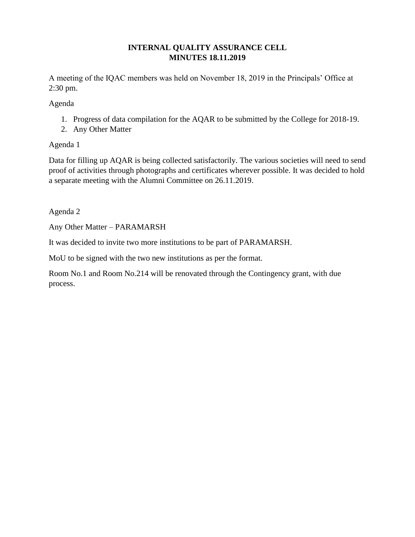## **INTERNAL QUALITY ASSURANCE CELL MINUTES 18.11.2019**

A meeting of the IQAC members was held on November 18, 2019 in the Principals' Office at 2:30 pm.

Agenda

- 1. Progress of data compilation for the AQAR to be submitted by the College for 2018-19.
- 2. Any Other Matter

### Agenda 1

Data for filling up AQAR is being collected satisfactorily. The various societies will need to send proof of activities through photographs and certificates wherever possible. It was decided to hold a separate meeting with the Alumni Committee on 26.11.2019.

Agenda 2

Any Other Matter – PARAMARSH

It was decided to invite two more institutions to be part of PARAMARSH.

MoU to be signed with the two new institutions as per the format.

Room No.1 and Room No.214 will be renovated through the Contingency grant, with due process.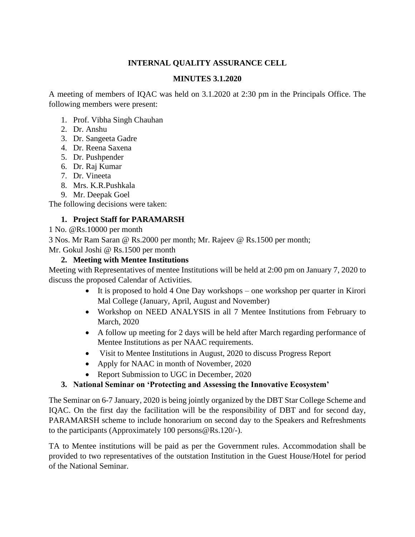### **INTERNAL QUALITY ASSURANCE CELL**

#### **MINUTES 3.1.2020**

A meeting of members of IQAC was held on 3.1.2020 at 2:30 pm in the Principals Office. The following members were present:

- 1. Prof. Vibha Singh Chauhan
- 2. Dr. Anshu
- 3. Dr. Sangeeta Gadre
- 4. Dr. Reena Saxena
- 5. Dr. Pushpender
- 6. Dr. Raj Kumar
- 7. Dr. Vineeta
- 8. Mrs. K.R.Pushkala
- 9. Mr. Deepak Goel

The following decisions were taken:

### **1. Project Staff for PARAMARSH**

1 No. @Rs.10000 per month

3 Nos. Mr Ram Saran @ Rs.2000 per month; Mr. Rajeev @ Rs.1500 per month;

Mr. Gokul Joshi @ Rs.1500 per month

### **2. Meeting with Mentee Institutions**

Meeting with Representatives of mentee Institutions will be held at 2:00 pm on January 7, 2020 to discuss the proposed Calendar of Activities.

- It is proposed to hold 4 One Day workshops one workshop per quarter in Kirori Mal College (January, April, August and November)
- Workshop on NEED ANALYSIS in all 7 Mentee Institutions from February to March, 2020
- A follow up meeting for 2 days will be held after March regarding performance of Mentee Institutions as per NAAC requirements.
- Visit to Mentee Institutions in August, 2020 to discuss Progress Report
- Apply for NAAC in month of November, 2020
- Report Submission to UGC in December, 2020

### **3. National Seminar on 'Protecting and Assessing the Innovative Ecosystem'**

The Seminar on 6-7 January, 2020 is being jointly organized by the DBT Star College Scheme and IQAC. On the first day the facilitation will be the responsibility of DBT and for second day, PARAMARSH scheme to include honorarium on second day to the Speakers and Refreshments to the participants (Approximately 100 persons@Rs.120/-).

TA to Mentee institutions will be paid as per the Government rules. Accommodation shall be provided to two representatives of the outstation Institution in the Guest House/Hotel for period of the National Seminar.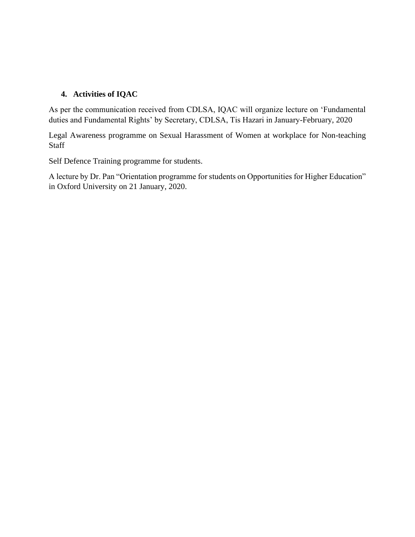### **4. Activities of IQAC**

As per the communication received from CDLSA, IQAC will organize lecture on 'Fundamental duties and Fundamental Rights' by Secretary, CDLSA, Tis Hazari in January-February, 2020

Legal Awareness programme on Sexual Harassment of Women at workplace for Non-teaching **Staff** 

Self Defence Training programme for students.

A lecture by Dr. Pan "Orientation programme for students on Opportunities for Higher Education" in Oxford University on 21 January, 2020.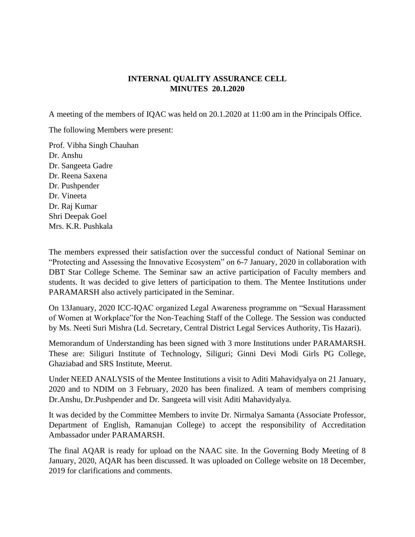### **INTERNAL QUALITY ASSURANCE CELL MINUTES 20.1.2020**

A meeting of the members of IQAC was held on 20.1.2020 at 11:00 am in the Principals Office.

The following Members were present:

Prof. Vibha Singh Chauhan Dr. Anshu Dr. Sangeeta Gadre Dr. Reena Saxena Dr. Pushpender Dr. Vineeta Dr. Raj Kumar Shri Deepak Goel Mrs. K.R. Pushkala

The members expressed their satisfaction over the successful conduct of National Seminar on "Protecting and Assessing the Innovative Ecosystem" on 6-7 January, 2020 in collaboration with DBT Star College Scheme. The Seminar saw an active participation of Faculty members and students. It was decided to give letters of participation to them. The Mentee Institutions under PARAMARSH also actively participated in the Seminar.

On 13January, 2020 ICC-IQAC organized Legal Awareness programme on "Sexual Harassment of Women at Workplace"for the Non-Teaching Staff of the College. The Session was conducted by Ms. Neeti Suri Mishra (Ld. Secretary, Central District Legal Services Authority, Tis Hazari).

Memorandum of Understanding has been signed with 3 more Institutions under PARAMARSH. These are: Siliguri Institute of Technology, Siliguri; Ginni Devi Modi Girls PG College, Ghaziabad and SRS Institute, Meerut.

Under NEED ANALYSIS of the Mentee Institutions a visit to Aditi Mahavidyalya on 21 January, 2020 and to NDIM on 3 February, 2020 has been finalized. A team of members comprising Dr.Anshu, Dr.Pushpender and Dr. Sangeeta will visit Aditi Mahavidyalya.

It was decided by the Committee Members to invite Dr. Nirmalya Samanta (Associate Professor, Department of English, Ramanujan College) to accept the responsibility of Accreditation Ambassador under PARAMARSH.

The final AQAR is ready for upload on the NAAC site. In the Governing Body Meeting of 8 January, 2020, AQAR has been discussed. It was uploaded on College website on 18 December, 2019 for clarifications and comments.